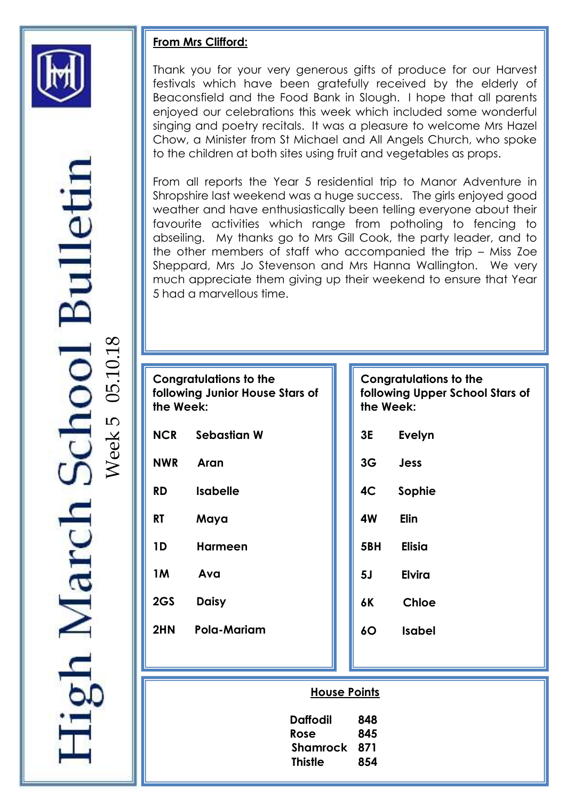

# Bullet 05.10.18ஸ Week zh March

# **From Mrs Clifford:**

Thank you for your very generous gifts of produce for our Harvest festivals which have been gratefully received by the elderly of Beaconsfield and the Food Bank in Slough. I hope that all parents enjoyed our celebrations this week which included some wonderful singing and poetry recitals. It was a pleasure to welcome Mrs Hazel Chow, a Minister from St Michael and All Angels Church, who spoke to the children at both sites using fruit and vegetables as props.

IS = weather and have enthusiastically been telling everyone about their From all reports the Year 5 residential trip to Manor Adventure in Shropshire last weekend was a huge success. The girls enjoyed good favourite activities which range from potholing to fencing to abseiling. My thanks go to Mrs Gill Cook, the party leader, and to the other members of staff who accompanied the trip – Miss Zoe Sheppard, Mrs Jo Stevenson and Mrs Hanna Wallington. We very much appreciate them giving up their weekend to ensure that Year 5 had a marvellous time.

| <b>Congratulations to the</b><br>following Junior House Stars of<br>the Week: |                     |                                          |  | Congratulation<br>following Uppe<br>the Week: |               |
|-------------------------------------------------------------------------------|---------------------|------------------------------------------|--|-----------------------------------------------|---------------|
| <b>NCR</b>                                                                    | <b>Sebastian W</b>  |                                          |  | 3E                                            | <b>Evelyn</b> |
| <b>NWR</b>                                                                    | Aran                |                                          |  | 3G                                            | <b>Jess</b>   |
| <b>RD</b>                                                                     | <b>Isabelle</b>     |                                          |  | 4C                                            | Sophie        |
| <b>RT</b>                                                                     | Maya                |                                          |  | 4W                                            | <b>Elin</b>   |
| 1D                                                                            | <b>Harmeen</b>      |                                          |  | 5BH                                           | <b>Elisia</b> |
| <b>1M</b>                                                                     | Ava                 |                                          |  | 5 <sub>J</sub>                                | <b>Elvira</b> |
| 2GS                                                                           | <b>Daisy</b>        |                                          |  | 6K                                            | <b>Chloe</b>  |
| 2HN                                                                           | Pola-Mariam         |                                          |  | 60                                            | <b>Isabel</b> |
|                                                                               |                     |                                          |  |                                               |               |
|                                                                               | <b>House Points</b> |                                          |  |                                               |               |
|                                                                               |                     | <b>Daffodil</b><br>Rose<br>Chamusal, 071 |  | 848<br>845                                    |               |

# **s** to the **following Upper School Stars of**

 **Shamrock 871 Thistle 854**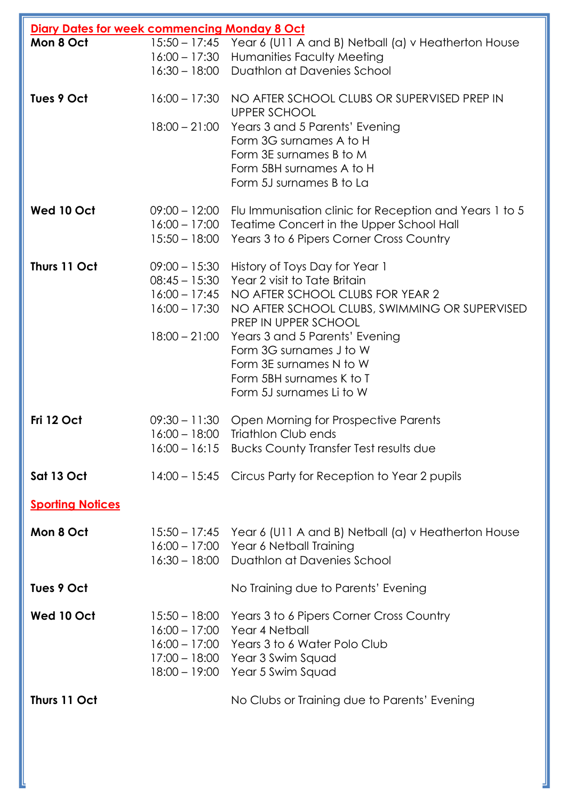| Diary Dates for week commencing Monday 8 Oct |                 |                                                                                     |  |  |
|----------------------------------------------|-----------------|-------------------------------------------------------------------------------------|--|--|
| Mon 8 Oct                                    |                 | 15:50 - 17:45 Year 6 (U11 A and B) Netball (a) v Heatherton House                   |  |  |
|                                              |                 | 16:00 - 17:30 Humanities Faculty Meeting                                            |  |  |
|                                              |                 | 16:30 - 18:00 Duathlon at Davenies School                                           |  |  |
| Tues 9 Oct                                   |                 | 16:00 - 17:30 NO AFTER SCHOOL CLUBS OR SUPERVISED PREP IN<br><b>UPPER SCHOOL</b>    |  |  |
|                                              | $18:00 - 21:00$ | Years 3 and 5 Parents' Evening                                                      |  |  |
|                                              |                 | Form 3G surnames A to H                                                             |  |  |
|                                              |                 | Form 3E surnames B to M                                                             |  |  |
|                                              |                 | Form 5BH surnames A to H<br>Form 5J surnames B to La                                |  |  |
|                                              |                 |                                                                                     |  |  |
| Wed 10 Oct                                   |                 | 09:00 – 12:00 Flu Immunisation clinic for Reception and Years 1 to 5                |  |  |
|                                              | $16:00 - 17:00$ | Teatime Concert in the Upper School Hall                                            |  |  |
|                                              | $15:50 - 18:00$ | Years 3 to 6 Pipers Corner Cross Country                                            |  |  |
| Thurs 11 Oct                                 | $09:00 - 15:30$ | History of Toys Day for Year 1                                                      |  |  |
|                                              | $08:45 - 15:30$ | Year 2 visit to Tate Britain                                                        |  |  |
|                                              |                 | 16:00 - 17:45 NO AFTER SCHOOL CLUBS FOR YEAR 2                                      |  |  |
|                                              |                 | 16:00 - 17:30 NO AFTER SCHOOL CLUBS, SWIMMING OR SUPERVISED<br>PREP IN UPPER SCHOOL |  |  |
|                                              | $18:00 - 21:00$ | Years 3 and 5 Parents' Evening                                                      |  |  |
|                                              |                 | Form 3G surnames J to W                                                             |  |  |
|                                              |                 | Form 3E surnames N to W                                                             |  |  |
|                                              |                 | Form 5BH surnames K to T                                                            |  |  |
|                                              |                 | Form 5J surnames Li to W                                                            |  |  |
| Fri 12 Oct                                   | $09:30 - 11:30$ | Open Morning for Prospective Parents                                                |  |  |
|                                              | $16:00 - 18:00$ | Triathlon Club ends                                                                 |  |  |
|                                              |                 | 16:00 - 16:15 Bucks County Transfer Test results due                                |  |  |
| Sat 13 Oct                                   |                 | 14:00 – 15:45 Circus Party for Reception to Year 2 pupils                           |  |  |
| <b>Sporting Notices</b>                      |                 |                                                                                     |  |  |
| Mon 8 Oct                                    |                 | 15:50 – 17:45 Year 6 (U11 A and B) Netball (a) v Heatherton House                   |  |  |
|                                              |                 | 16:00 - 17:00 Year 6 Netball Training                                               |  |  |
|                                              |                 | 16:30 – 18:00 Duathlon at Davenies School                                           |  |  |
| Tues 9 Oct                                   |                 | No Training due to Parents' Evening                                                 |  |  |
| Wed 10 Oct                                   | $15:50 - 18:00$ | Years 3 to 6 Pipers Corner Cross Country                                            |  |  |
|                                              |                 | 16:00 - 17:00 Year 4 Netball                                                        |  |  |
|                                              |                 | 16:00 - 17:00 Years 3 to 6 Water Polo Club                                          |  |  |
|                                              | $18:00 - 19:00$ | 17:00 - 18:00 Year 3 Swim Squad                                                     |  |  |
|                                              |                 | Year 5 Swim Squad                                                                   |  |  |
| Thurs 11 Oct                                 |                 | No Clubs or Training due to Parents' Evening                                        |  |  |
|                                              |                 |                                                                                     |  |  |